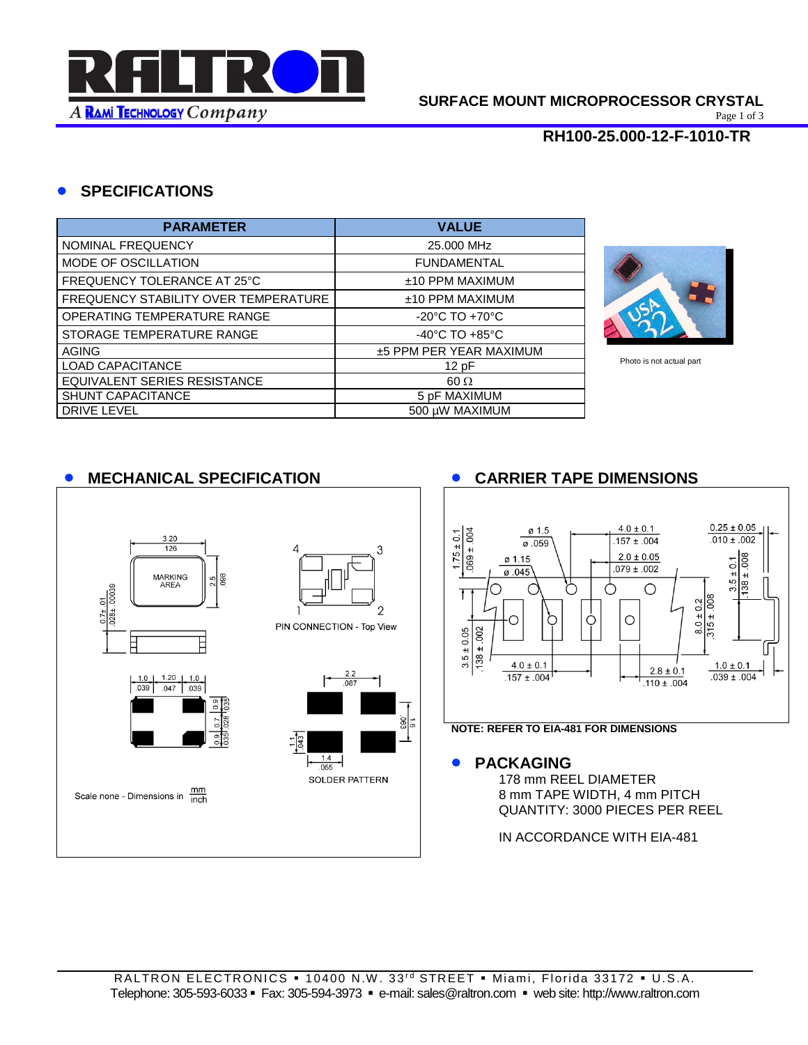

Page 1 of 3

### **RH100-25.000-12-F-1010-TR**

## **SPECIFICATIONS**

| <b>PARAMETER</b>                     | <b>VALUE</b>                       |
|--------------------------------------|------------------------------------|
| NOMINAL FREQUENCY                    | 25.000 MHz                         |
| MODE OF OSCILLATION                  | <b>FUNDAMENTAL</b>                 |
| FREQUENCY TOLERANCE AT 25°C          | ±10 PPM MAXIMUM                    |
| FREQUENCY STABILITY OVER TEMPERATURE | $±10$ PPM MAXIMUM                  |
| OPERATING TEMPERATURE RANGE          | $-20^{\circ}$ C TO $+70^{\circ}$ C |
| STORAGE TEMPERATURE RANGE            | $-40^{\circ}$ C TO $+85^{\circ}$ C |
| <b>AGING</b>                         | ±5 PPM PER YEAR MAXIMUM            |
| <b>LOAD CAPACITANCE</b>              | 12pF                               |
| EQUIVALENT SERIES RESISTANCE         | $60 \Omega$                        |
| SHUNT CAPACITANCE                    | 5 pF MAXIMUM                       |
| <b>DRIVE LEVEL</b>                   | 500 µW MAXIMUM                     |



Photo is not actual part

# **MECHANICAL SPECIFICATION CARRIER TAPE DIMENSIONS**

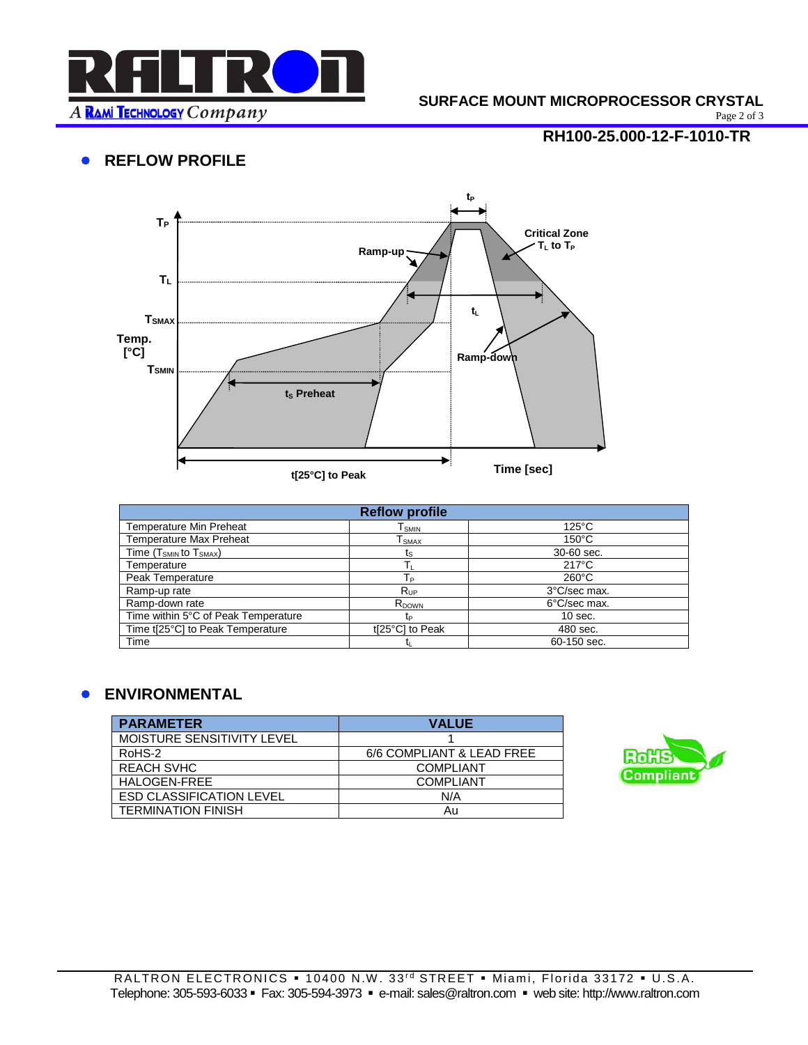

#### **SURFACE MOUNT MICROPROCESSOR CRYSTAL**

Page 2 of 3

# **• REFLOW PROFILE**

# **RH100-25.000-12-F-1010-TR**



| <b>Reflow profile</b>               |                   |                 |  |  |
|-------------------------------------|-------------------|-----------------|--|--|
| <b>Temperature Min Preheat</b>      | l smin            | $125^{\circ}$ C |  |  |
| <b>Temperature Max Preheat</b>      | l smax            | $150^{\circ}$ C |  |  |
| Time $(T_{SMIN}$ to $T_{SMAX}$ )    | ts                | 30-60 sec.      |  |  |
| Temperature                         |                   | $217^{\circ}$ C |  |  |
| Peak Temperature                    | Tр                | $260^{\circ}$ C |  |  |
| Ramp-up rate                        | $R_{\text{UP}}$   | 3°C/sec max.    |  |  |
| Ramp-down rate                      | R <sub>DOWN</sub> | 6°C/sec max.    |  |  |
| Time within 5°C of Peak Temperature | tp                | $10$ sec.       |  |  |
| Time t[25°C] to Peak Temperature    | t[25°C] to Peak   | 480 sec.        |  |  |
| Time                                |                   | 60-150 sec.     |  |  |

## **ENVIRONMENTAL**

| <b>PARAMETER</b>                | <b>VALUE</b>              |
|---------------------------------|---------------------------|
| MOISTURE SENSITIVITY LEVEL      |                           |
| RoHS-2                          | 6/6 COMPLIANT & LEAD FREE |
| <b>REACH SVHC</b>               | <b>COMPLIANT</b>          |
| HALOGEN-FREE                    | <b>COMPLIANT</b>          |
| <b>ESD CLASSIFICATION LEVEL</b> | N/A                       |
| <b>TERMINATION FINISH</b>       | Au                        |